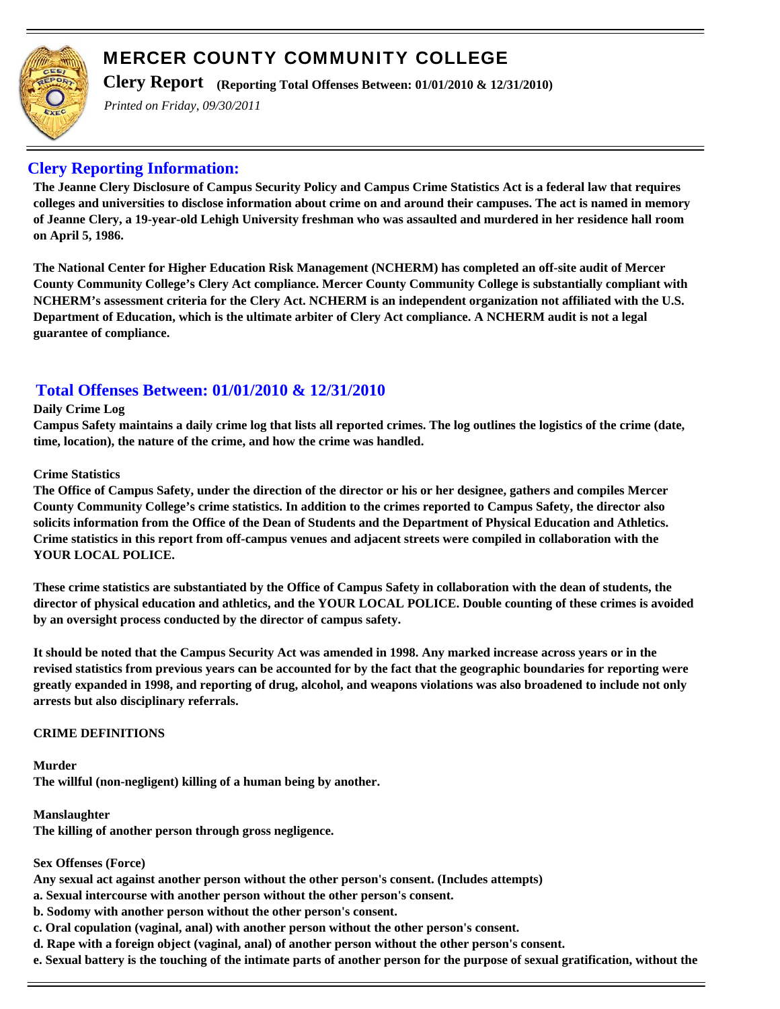

**Clery Report (Reporting Total Offenses Between: 01/01/2010 & 12/31/2010)**

*Printed on Friday, 09/30/2011*

## **Clery Reporting Information:**

**The Jeanne Clery Disclosure of Campus Security Policy and Campus Crime Statistics Act is a federal law that requires colleges and universities to disclose information about crime on and around their campuses. The act is named in memory of Jeanne Clery, a 19-year-old Lehigh University freshman who was assaulted and murdered in her residence hall room on April 5, 1986.**

**The National Center for Higher Education Risk Management (NCHERM) has completed an off-site audit of Mercer County Community College's Clery Act compliance. Mercer County Community College is substantially compliant with NCHERM's assessment criteria for the Clery Act. NCHERM is an independent organization not affiliated with the U.S. Department of Education, which is the ultimate arbiter of Clery Act compliance. A NCHERM audit is not a legal guarantee of compliance.**

# **Total Offenses Between: 01/01/2010 & 12/31/2010**

#### **Daily Crime Log**

**Campus Safety maintains a daily crime log that lists all reported crimes. The log outlines the logistics of the crime (date, time, location), the nature of the crime, and how the crime was handled.**

#### **Crime Statistics**

**The Office of Campus Safety, under the direction of the director or his or her designee, gathers and compiles Mercer County Community College's crime statistics. In addition to the crimes reported to Campus Safety, the director also solicits information from the Office of the Dean of Students and the Department of Physical Education and Athletics. Crime statistics in this report from off-campus venues and adjacent streets were compiled in collaboration with the YOUR LOCAL POLICE.**

**These crime statistics are substantiated by the Office of Campus Safety in collaboration with the dean of students, the director of physical education and athletics, and the YOUR LOCAL POLICE. Double counting of these crimes is avoided by an oversight process conducted by the director of campus safety.** 

**It should be noted that the Campus Security Act was amended in 1998. Any marked increase across years or in the revised statistics from previous years can be accounted for by the fact that the geographic boundaries for reporting were greatly expanded in 1998, and reporting of drug, alcohol, and weapons violations was also broadened to include not only arrests but also disciplinary referrals.**

### **CRIME DEFINITIONS**

**Murder The willful (non-negligent) killing of a human being by another.**

#### **Manslaughter**

**The killing of another person through gross negligence.**

#### **Sex Offenses (Force)**

**Any sexual act against another person without the other person's consent. (Includes attempts)**

**a. Sexual intercourse with another person without the other person's consent.**

- **b. Sodomy with another person without the other person's consent.**
- **c. Oral copulation (vaginal, anal) with another person without the other person's consent.**
- **d. Rape with a foreign object (vaginal, anal) of another person without the other person's consent.**
- **e. Sexual battery is the touching of the intimate parts of another person for the purpose of sexual gratification, without the**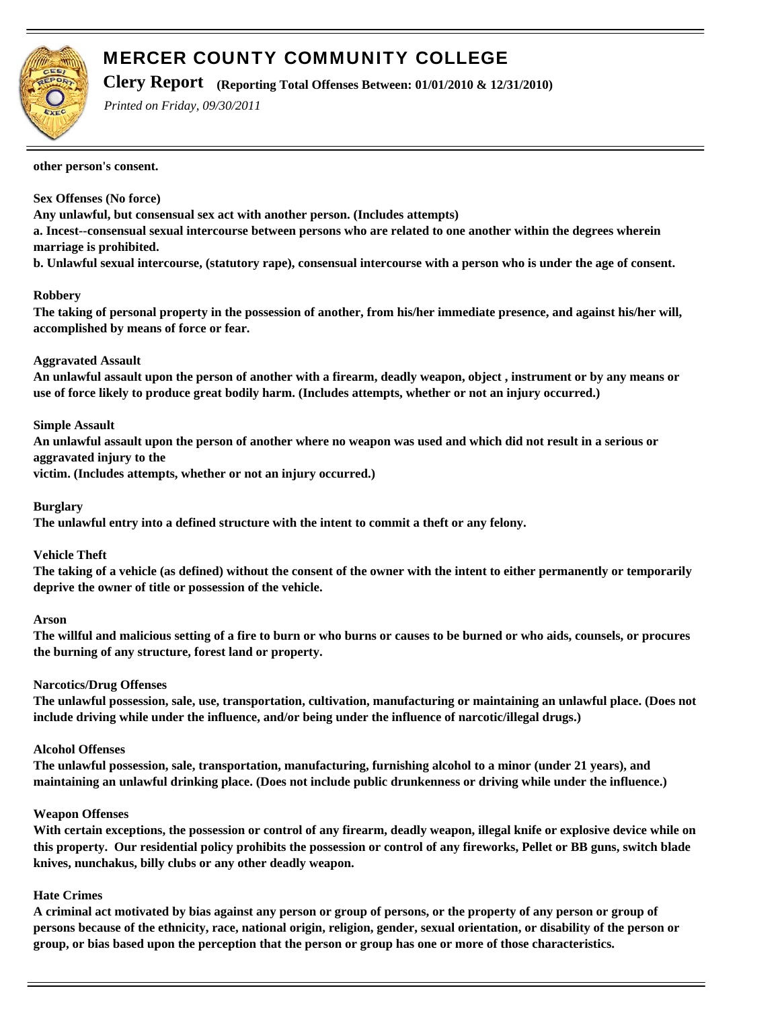

**Clery Report (Reporting Total Offenses Between: 01/01/2010 & 12/31/2010)**

*Printed on Friday, 09/30/2011*

**other person's consent.**

#### **Sex Offenses (No force)**

**Any unlawful, but consensual sex act with another person. (Includes attempts)**

**a. Incest--consensual sexual intercourse between persons who are related to one another within the degrees wherein marriage is prohibited.**

**b. Unlawful sexual intercourse, (statutory rape), consensual intercourse with a person who is under the age of consent.**

#### **Robbery**

**The taking of personal property in the possession of another, from his/her immediate presence, and against his/her will, accomplished by means of force or fear.**

#### **Aggravated Assault**

**An unlawful assault upon the person of another with a firearm, deadly weapon, object , instrument or by any means or use of force likely to produce great bodily harm. (Includes attempts, whether or not an injury occurred.)**

#### **Simple Assault**

**An unlawful assault upon the person of another where no weapon was used and which did not result in a serious or aggravated injury to the**

**victim. (Includes attempts, whether or not an injury occurred.)**

**Burglary**

**The unlawful entry into a defined structure with the intent to commit a theft or any felony.**

#### **Vehicle Theft**

**The taking of a vehicle (as defined) without the consent of the owner with the intent to either permanently or temporarily deprive the owner of title or possession of the vehicle.**

#### **Arson**

**The willful and malicious setting of a fire to burn or who burns or causes to be burned or who aids, counsels, or procures the burning of any structure, forest land or property.**

#### **Narcotics/Drug Offenses**

**The unlawful possession, sale, use, transportation, cultivation, manufacturing or maintaining an unlawful place. (Does not include driving while under the influence, and/or being under the influence of narcotic/illegal drugs.)**

#### **Alcohol Offenses**

**The unlawful possession, sale, transportation, manufacturing, furnishing alcohol to a minor (under 21 years), and maintaining an unlawful drinking place. (Does not include public drunkenness or driving while under the influence.)** 

#### **Weapon Offenses**

**With certain exceptions, the possession or control of any firearm, deadly weapon, illegal knife or explosive device while on this property. Our residential policy prohibits the possession or control of any fireworks, Pellet or BB guns, switch blade knives, nunchakus, billy clubs or any other deadly weapon.**

#### **Hate Crimes**

**A criminal act motivated by bias against any person or group of persons, or the property of any person or group of persons because of the ethnicity, race, national origin, religion, gender, sexual orientation, or disability of the person or group, or bias based upon the perception that the person or group has one or more of those characteristics.**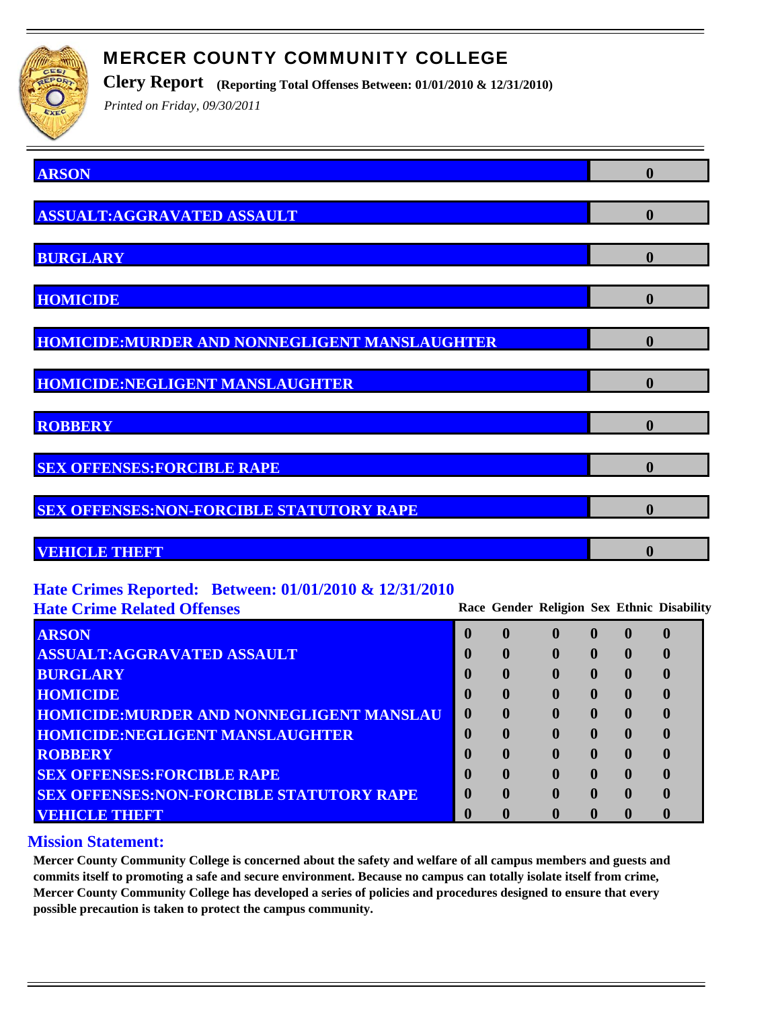

**Clery Report (Reporting Total Offenses Between: 01/01/2010 & 12/31/2010)**

*Printed on Friday, 09/30/2011*

| <b>ARSON</b>                                    | $\boldsymbol{0}$ |
|-------------------------------------------------|------------------|
| <b>ASSUALT:AGGRAVATED ASSAULT</b>               | $\boldsymbol{0}$ |
| <b>BURGLARY</b>                                 | $\boldsymbol{0}$ |
| <b>HOMICIDE</b>                                 | $\bf{0}$         |
| HOMICIDE: MURDER AND NONNEGLIGENT MANSLAUGHTER  | $\bf{0}$         |
| <b>HOMICIDE:NEGLIGENT MANSLAUGHTER</b>          | 0                |
| <b>ROBBERY</b>                                  | $\bf{0}$         |
| <b>SEX OFFENSES: FORCIBLE RAPE</b>              | $\boldsymbol{0}$ |
| <b>SEX OFFENSES:NON-FORCIBLE STATUTORY RAPE</b> | $\bf{0}$         |
| VEHICLE THEFT                                   | 0                |

## **Hate Crimes Reported: Between: 01/01/2010 & 12/31/2010**

**Hate Crime Related Offenses Race Gender Religion Sex Ethnic Disability**

| <b>ARSON</b>                                    | $\mathbf 0$ | $\mathbf 0$  | $\mathbf 0$  | $\mathbf{0}$ | $\mathbf 0$ |
|-------------------------------------------------|-------------|--------------|--------------|--------------|-------------|
| <b>ASSUALT:AGGRAVATED ASSAULT</b>               | $\mathbf 0$ |              |              | $\mathbf{0}$ |             |
| <b>BURGLARY</b>                                 | 0           | $\mathbf{0}$ |              | $\mathbf{0}$ |             |
| <b>HOMICIDE</b>                                 | $\mathbf 0$ | $\mathbf 0$  | $\mathbf{0}$ | $\mathbf{0}$ |             |
| <b>HOMICIDE:MURDER AND NONNEGLIGENT MANSLAU</b> | $\mathbf 0$ | $\mathbf 0$  |              | $\mathbf 0$  |             |
| <b>HOMICIDE:NEGLIGENT MANSLAUGHTER</b>          |             | $\mathbf 0$  |              | $\mathbf 0$  |             |
| <b>ROBBERY</b>                                  | $\mathbf 0$ | $\mathbf 0$  | $\mathbf 0$  | $\mathbf 0$  |             |
| <b>SEX OFFENSES: FORCIBLE RAPE</b>              | 0           | $\mathbf 0$  |              | $\mathbf{0}$ |             |
| <b>SEX OFFENSES:NON-FORCIBLE STATUTORY RAPE</b> | 0           | $\mathbf{0}$ |              | $\mathbf 0$  |             |
| VEHICLE THEFT                                   |             |              |              | 0            |             |

### **Mission Statement:**

**Mercer County Community College is concerned about the safety and welfare of all campus members and guests and commits itself to promoting a safe and secure environment. Because no campus can totally isolate itself from crime, Mercer County Community College has developed a series of policies and procedures designed to ensure that every possible precaution is taken to protect the campus community.**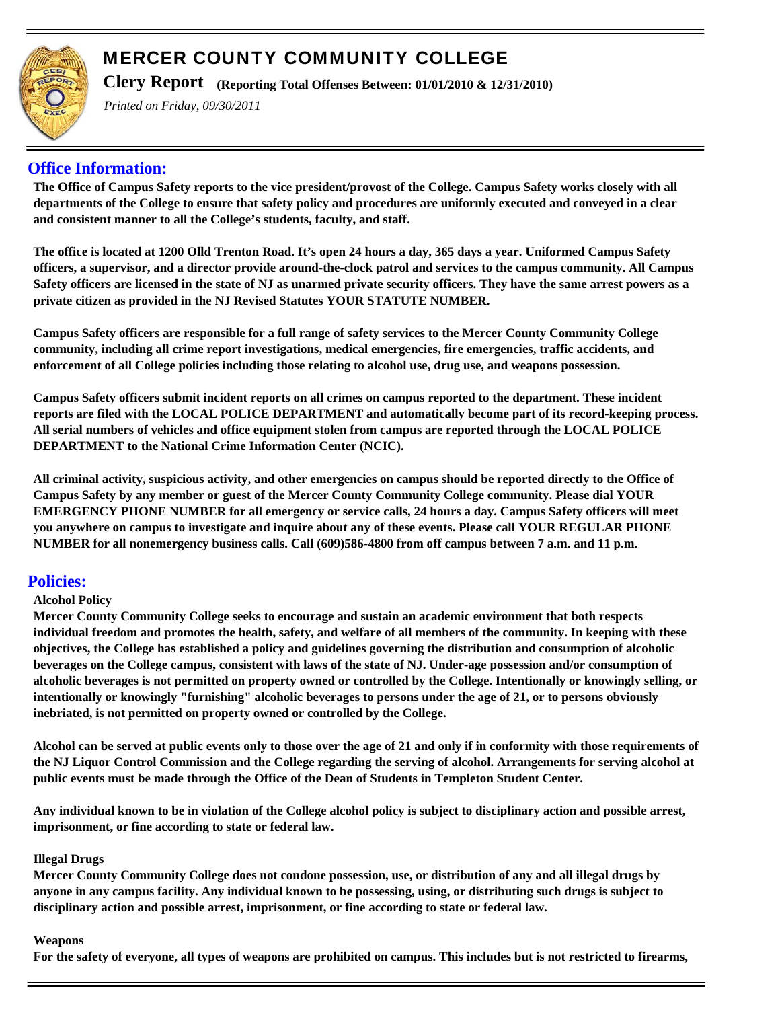

**Clery Report (Reporting Total Offenses Between: 01/01/2010 & 12/31/2010)**

*Printed on Friday, 09/30/2011*

## **Office Information:**

**The Office of Campus Safety reports to the vice president/provost of the College. Campus Safety works closely with all departments of the College to ensure that safety policy and procedures are uniformly executed and conveyed in a clear and consistent manner to all the College's students, faculty, and staff.**

**The office is located at 1200 Olld Trenton Road. It's open 24 hours a day, 365 days a year. Uniformed Campus Safety officers, a supervisor, and a director provide around-the-clock patrol and services to the campus community. All Campus Safety officers are licensed in the state of NJ as unarmed private security officers. They have the same arrest powers as a private citizen as provided in the NJ Revised Statutes YOUR STATUTE NUMBER.**

**Campus Safety officers are responsible for a full range of safety services to the Mercer County Community College community, including all crime report investigations, medical emergencies, fire emergencies, traffic accidents, and enforcement of all College policies including those relating to alcohol use, drug use, and weapons possession.**

**Campus Safety officers submit incident reports on all crimes on campus reported to the department. These incident reports are filed with the LOCAL POLICE DEPARTMENT and automatically become part of its record-keeping process. All serial numbers of vehicles and office equipment stolen from campus are reported through the LOCAL POLICE DEPARTMENT to the National Crime Information Center (NCIC).**

**All criminal activity, suspicious activity, and other emergencies on campus should be reported directly to the Office of Campus Safety by any member or guest of the Mercer County Community College community. Please dial YOUR EMERGENCY PHONE NUMBER for all emergency or service calls, 24 hours a day. Campus Safety officers will meet you anywhere on campus to investigate and inquire about any of these events. Please call YOUR REGULAR PHONE NUMBER for all nonemergency business calls. Call (609)586-4800 from off campus between 7 a.m. and 11 p.m.**

### **Policies:**

### **Alcohol Policy**

**Mercer County Community College seeks to encourage and sustain an academic environment that both respects individual freedom and promotes the health, safety, and welfare of all members of the community. In keeping with these objectives, the College has established a policy and guidelines governing the distribution and consumption of alcoholic beverages on the College campus, consistent with laws of the state of NJ. Under-age possession and/or consumption of alcoholic beverages is not permitted on property owned or controlled by the College. Intentionally or knowingly selling, or intentionally or knowingly "furnishing" alcoholic beverages to persons under the age of 21, or to persons obviously inebriated, is not permitted on property owned or controlled by the College.** 

**Alcohol can be served at public events only to those over the age of 21 and only if in conformity with those requirements of the NJ Liquor Control Commission and the College regarding the serving of alcohol. Arrangements for serving alcohol at public events must be made through the Office of the Dean of Students in Templeton Student Center.**

**Any individual known to be in violation of the College alcohol policy is subject to disciplinary action and possible arrest, imprisonment, or fine according to state or federal law.**

#### **Illegal Drugs**

**Mercer County Community College does not condone possession, use, or distribution of any and all illegal drugs by anyone in any campus facility. Any individual known to be possessing, using, or distributing such drugs is subject to disciplinary action and possible arrest, imprisonment, or fine according to state or federal law.**

#### **Weapons**

**For the safety of everyone, all types of weapons are prohibited on campus. This includes but is not restricted to firearms,**